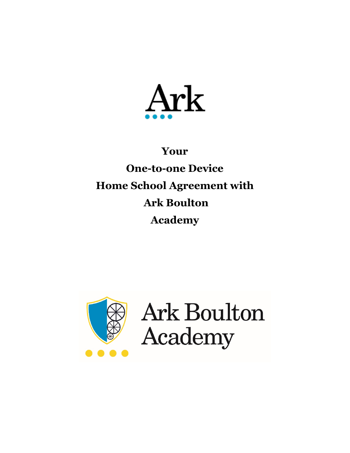

# **Your One-to-one Device Home School Agreement with Ark Boulton Academy**



Ark Boulton Academy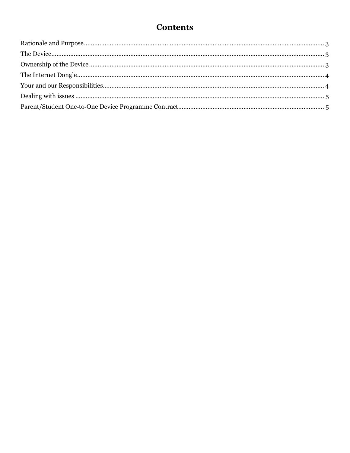## **Contents**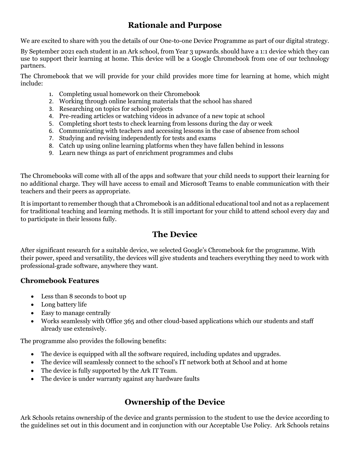#### **Rationale and Purpose**

<span id="page-2-0"></span>We are excited to share with you the details of our One-to-one Device Programme as part of our digital strategy.

By September 2021 each student in an Ark school, from Year 3 upwards, should have a 1:1 device which they can use to support their learning at home. This device will be a Google Chromebook from one of our technology partners.

The Chromebook that we will provide for your child provides more time for learning at home, which might include:

- 1. Completing usual homework on their Chromebook
- 2. Working through online learning materials that the school has shared
- 3. Researching on topics for school projects
- 4. Pre-reading articles or watching videos in advance of a new topic at school
- 5. Completing short tests to check learning from lessons during the day or week
- 6. Communicating with teachers and accessing lessons in the case of absence from school
- 7. Studying and revising independently for tests and exams
- 8. Catch up using online learning platforms when they have fallen behind in lessons
- 9. Learn new things as part of enrichment programmes and clubs

The Chromebooks will come with all of the apps and software that your child needs to support their learning for no additional charge. They will have access to email and Microsoft Teams to enable communication with their teachers and their peers as appropriate.

It is important to remember though that a Chromebook is an additional educational tool and not as a replacement for traditional teaching and learning methods. It is still important for your child to attend school every day and to participate in their lessons fully.

#### **The Device**

<span id="page-2-1"></span>After significant research for a suitable device, we selected Google's Chromebook for the programme. With their power, speed and versatility, the devices will give students and teachers everything they need to work with professional‐grade software, anywhere they want.

#### **Chromebook Features**

- Less than 8 seconds to boot up
- Long battery life
- Easy to manage centrally
- Works seamlessly with Office 365 and other cloud-based applications which our students and staff already use extensively.

The programme also provides the following benefits:

- The device is equipped with all the software required, including updates and upgrades.
- The device will seamlessly connect to the school's IT network both at School and at home
- The device is fully supported by the Ark IT Team.
- The device is under warranty against any hardware faults

#### **Ownership of the Device**

<span id="page-2-2"></span>Ark Schools retains ownership of the device and grants permission to the student to use the device according to the guidelines set out in this document and in conjunction with our Acceptable Use Policy. Ark Schools retains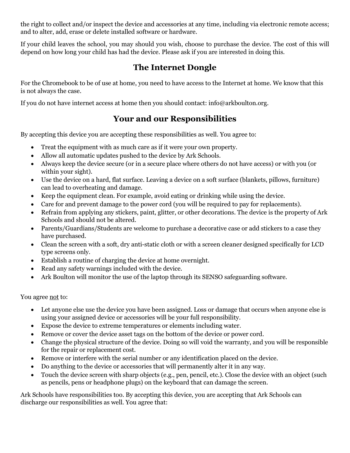the right to collect and/or inspect the device and accessories at any time, including via electronic remote access; and to alter, add, erase or delete installed software or hardware.

If your child leaves the school, you may should you wish, choose to purchase the device. The cost of this will depend on how long your child has had the device. Please ask if you are interested in doing this.

#### **The Internet Dongle**

<span id="page-3-0"></span>For the Chromebook to be of use at home, you need to have access to the Internet at home. We know that this is not always the case.

<span id="page-3-1"></span>If you do not have internet access at home then you should contact: info@arkboulton.org.

## **Your and our Responsibilities**

By accepting this device you are accepting these responsibilities as well. You agree to:

- Treat the equipment with as much care as if it were your own property.
- Allow all automatic updates pushed to the device by Ark Schools.
- Always keep the device secure (or in a secure place where others do not have access) or with you (or within your sight).
- Use the device on a hard, flat surface. Leaving a device on a soft surface (blankets, pillows, furniture) can lead to overheating and damage.
- Keep the equipment clean. For example, avoid eating or drinking while using the device.
- Care for and prevent damage to the power cord (you will be required to pay for replacements).
- Refrain from applying any stickers, paint, glitter, or other decorations. The device is the property of Ark Schools and should not be altered.
- Parents/Guardians/Students are welcome to purchase a decorative case or add stickers to a case they have purchased.
- Clean the screen with a soft, dry anti-static cloth or with a screen cleaner designed specifically for LCD type screens only.
- Establish a routine of charging the device at home overnight.
- Read any safety warnings included with the device.
- Ark Boulton will monitor the use of the laptop through its SENSO safeguarding software.

You agree not to:

- Let anyone else use the device you have been assigned. Loss or damage that occurs when anyone else is using your assigned device or accessories will be your full responsibility.
- Expose the device to extreme temperatures or elements including water.
- Remove or cover the device asset tags on the bottom of the device or power cord.
- Change the physical structure of the device. Doing so will void the warranty, and you will be responsible for the repair or replacement cost.
- Remove or interfere with the serial number or any identification placed on the device.
- Do anything to the device or accessories that will permanently alter it in any way.
- Touch the device screen with sharp objects (e.g., pen, pencil, etc.). Close the device with an object (such as pencils, pens or headphone plugs) on the keyboard that can damage the screen.

Ark Schools have responsibilities too. By accepting this device, you are accepting that Ark Schools can discharge our responsibilities as well. You agree that: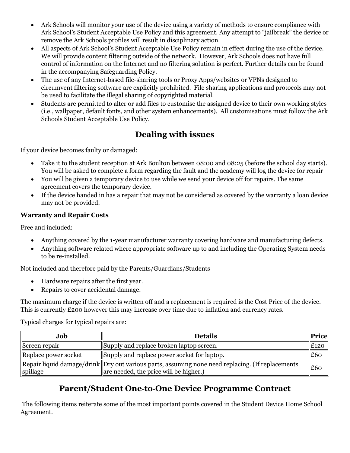- Ark Schools will monitor your use of the device using a variety of methods to ensure compliance with Ark School's Student Acceptable Use Policy and this agreement. Any attempt to "jailbreak" the device or remove the Ark Schools profiles will result in disciplinary action.
- All aspects of Ark School's Student Acceptable Use Policy remain in effect during the use of the device. We will provide content filtering outside of the network. However, Ark Schools does not have full control of information on the Internet and no filtering solution is perfect. Further details can be found in the accompanying Safeguarding Policy.
- The use of any Internet-based file-sharing tools or Proxy Apps/websites or VPNs designed to circumvent filtering software are explicitly prohibited. File sharing applications and protocols may not be used to facilitate the illegal sharing of copyrighted material.
- Students are permitted to alter or add files to customise the assigned device to their own working styles (i.e., wallpaper, default fonts, and other system enhancements). All customisations must follow the Ark Schools Student Acceptable Use Policy.

## **Dealing with issues**

<span id="page-4-0"></span>If your device becomes faulty or damaged:

- Take it to the student reception at Ark Boulton between 08:00 and 08:25 (before the school day starts). You will be asked to complete a form regarding the fault and the academy will log the device for repair
- You will be given a temporary device to use while we send your device off for repairs. The same agreement covers the temporary device.
- If the device handed in has a repair that may not be considered as covered by the warranty a loan device may not be provided.

#### **Warranty and Repair Costs**

Free and included:

- Anything covered by the 1-year manufacturer warranty covering hardware and manufacturing defects.
- Anything software related where appropriate software up to and including the Operating System needs to be re-installed.

Not included and therefore paid by the Parents/Guardians/Students

- Hardware repairs after the first year.
- Repairs to cover accidental damage.

The maximum charge if the device is written off and a replacement is required is the Cost Price of the device. This is currently £200 however this may increase over time due to inflation and currency rates.

Typical charges for typical repairs are:

| Job                  | <b>Details</b>                                                                                                                             | <b>Price</b> |
|----------------------|--------------------------------------------------------------------------------------------------------------------------------------------|--------------|
| Screen repair        | Supply and replace broken laptop screen.                                                                                                   | E120         |
| Replace power socket | Supply and replace power socket for laptop.                                                                                                | E60          |
| spillage             | Repair liquid damage/drink Dry out various parts, assuming none need replacing. (If replacements<br>are needed, the price will be higher.) | £60          |

## **Parent/Student One‐to‐One Device Programme Contract**

<span id="page-4-1"></span>The following items reiterate some of the most important points covered in the Student Device Home School Agreement.